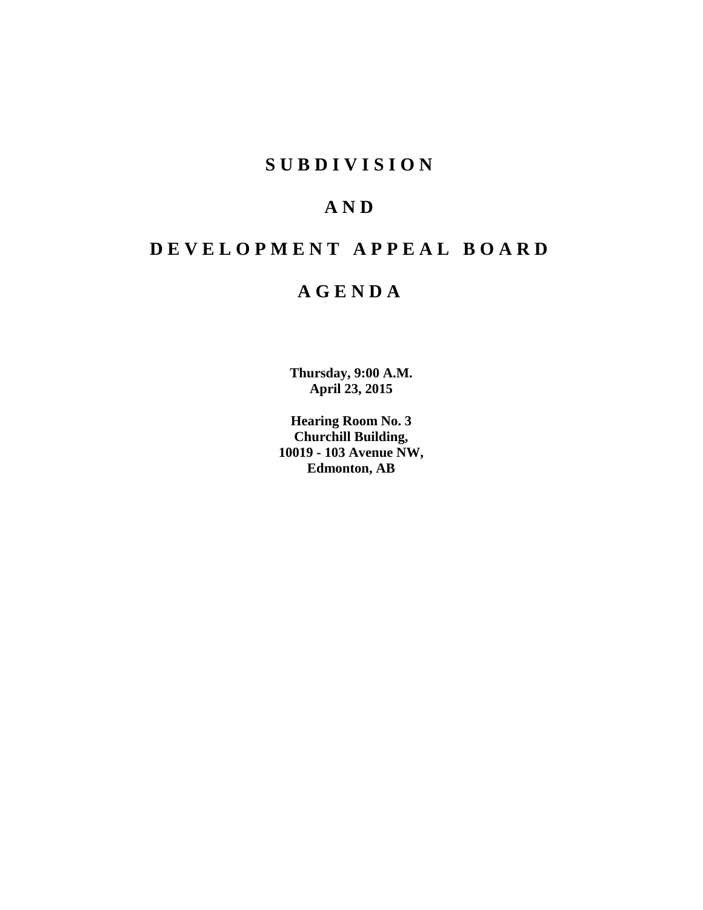### **S U B D I V I S I O N**

## **A N D**

## **D E V E L O P M E N T A P P E A L B O A R D**

## **A G E N D A**

**Thursday, 9:00 A.M. April 23, 2015**

**Hearing Room No. 3 Churchill Building, 10019 - 103 Avenue NW, Edmonton, AB**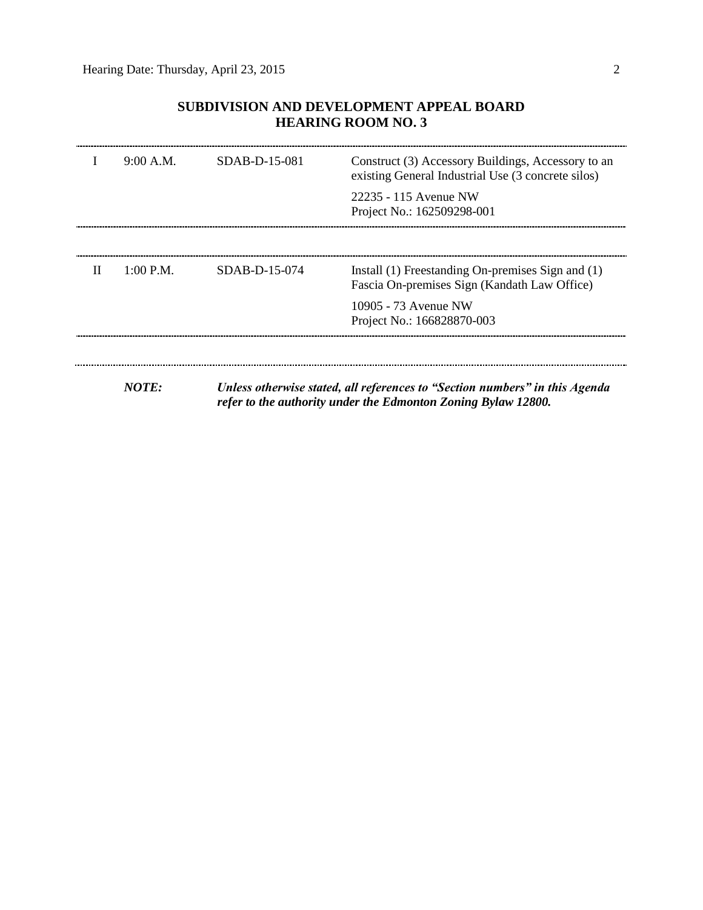### **SUBDIVISION AND DEVELOPMENT APPEAL BOARD HEARING ROOM NO. 3**

|   | 9:00 A.M. | $SDAB-D-15-081$ | Construct (3) Accessory Buildings, Accessory to an<br>existing General Industrial Use (3 concrete silos)                                     |
|---|-----------|-----------------|----------------------------------------------------------------------------------------------------------------------------------------------|
|   |           |                 | 22235 - 115 Avenue NW<br>Project No.: 162509298-001                                                                                          |
|   |           |                 |                                                                                                                                              |
| П | 1:00 P.M. | SDAB-D-15-074   | Install (1) Freestanding On-premises Sign and (1)<br>Fascia On-premises Sign (Kandath Law Office)                                            |
|   |           |                 | 10905 - 73 Avenue NW<br>Project No.: 166828870-003                                                                                           |
|   |           |                 |                                                                                                                                              |
|   | NOTE:     |                 | Unless otherwise stated, all references to "Section numbers" in this Agenda<br>refer to the authority under the Edmonton Zoning Bylaw 12800. |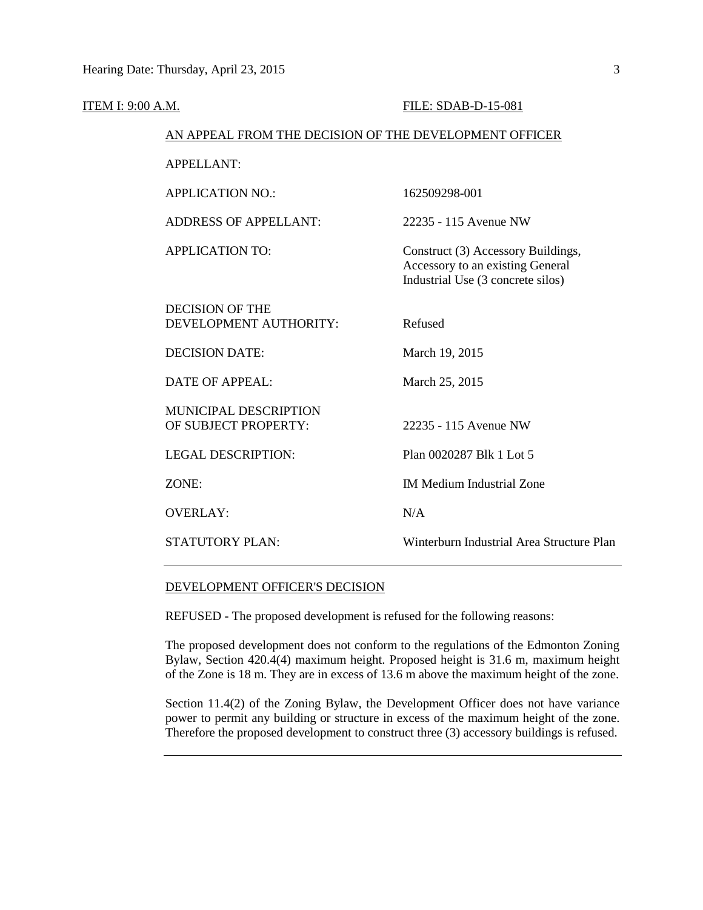| <b>ITEM I: 9:00 A.M.</b> |                                                        | FILE: SDAB-D-15-081                                                                                         |
|--------------------------|--------------------------------------------------------|-------------------------------------------------------------------------------------------------------------|
|                          | AN APPEAL FROM THE DECISION OF THE DEVELOPMENT OFFICER |                                                                                                             |
|                          | <b>APPELLANT:</b>                                      |                                                                                                             |
|                          | <b>APPLICATION NO.:</b>                                | 162509298-001                                                                                               |
|                          | <b>ADDRESS OF APPELLANT:</b>                           | 22235 - 115 Avenue NW                                                                                       |
|                          | <b>APPLICATION TO:</b>                                 | Construct (3) Accessory Buildings,<br>Accessory to an existing General<br>Industrial Use (3 concrete silos) |
|                          | <b>DECISION OF THE</b><br>DEVELOPMENT AUTHORITY:       | Refused                                                                                                     |
|                          | <b>DECISION DATE:</b>                                  | March 19, 2015                                                                                              |
|                          | <b>DATE OF APPEAL:</b>                                 | March 25, 2015                                                                                              |
|                          | MUNICIPAL DESCRIPTION<br>OF SUBJECT PROPERTY:          | 22235 - 115 Avenue NW                                                                                       |
|                          | <b>LEGAL DESCRIPTION:</b>                              | Plan 0020287 Blk 1 Lot 5                                                                                    |
|                          | ZONE:                                                  | <b>IM Medium Industrial Zone</b>                                                                            |
|                          | <b>OVERLAY:</b>                                        | N/A                                                                                                         |
|                          | <b>STATUTORY PLAN:</b>                                 | Winterburn Industrial Area Structure Plan                                                                   |
|                          |                                                        |                                                                                                             |

#### DEVELOPMENT OFFICER'S DECISION

REFUSED - The proposed development is refused for the following reasons:

The proposed development does not conform to the regulations of the Edmonton Zoning Bylaw, Section 420.4(4) maximum height. Proposed height is 31.6 m, maximum height of the Zone is 18 m. They are in excess of 13.6 m above the maximum height of the zone.

Section 11.4(2) of the Zoning Bylaw, the Development Officer does not have variance power to permit any building or structure in excess of the maximum height of the zone. Therefore the proposed development to construct three (3) accessory buildings is refused.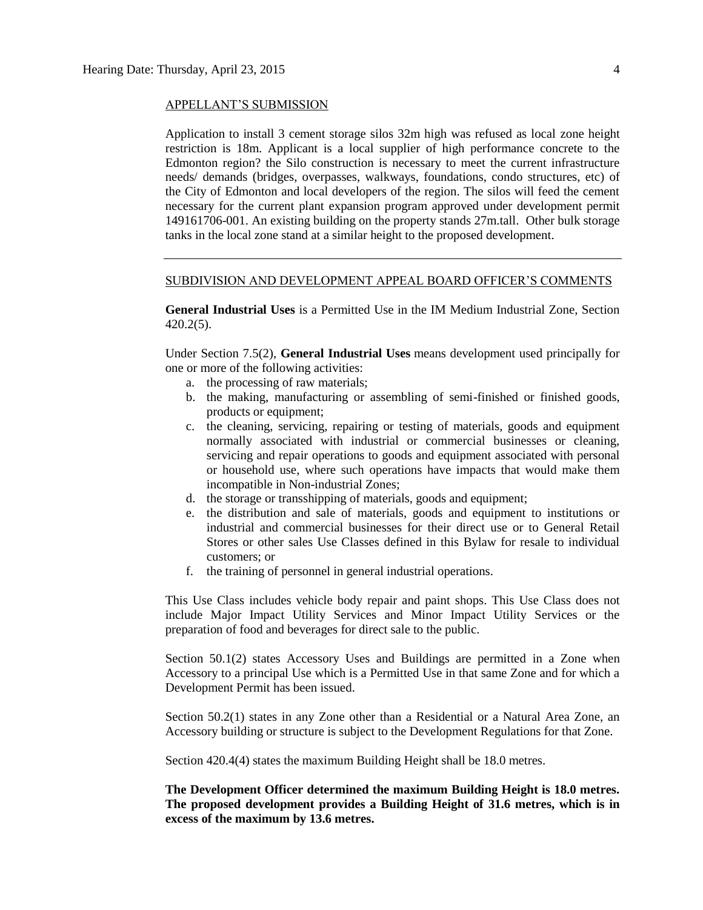#### APPELLANT'S SUBMISSION

Application to install 3 cement storage silos 32m high was refused as local zone height restriction is 18m. Applicant is a local supplier of high performance concrete to the Edmonton region? the Silo construction is necessary to meet the current infrastructure needs/ demands (bridges, overpasses, walkways, foundations, condo structures, etc) of the City of Edmonton and local developers of the region. The silos will feed the cement necessary for the current plant expansion program approved under development permit 149161706-001. An existing building on the property stands 27m.tall. Other bulk storage tanks in the local zone stand at a similar height to the proposed development.

#### SUBDIVISION AND DEVELOPMENT APPEAL BOARD OFFICER'S COMMENTS

**General Industrial Uses** is a Permitted Use in the IM Medium Industrial Zone, Section 420.2(5).

Under Section 7.5(2), **General Industrial Uses** means development used principally for one or more of the following activities:

- a. the processing of raw materials;
- b. the making, manufacturing or assembling of semi-finished or finished goods, products or equipment;
- c. the cleaning, servicing, repairing or testing of materials, goods and equipment normally associated with industrial or commercial businesses or cleaning, servicing and repair operations to goods and equipment associated with personal or household use, where such operations have impacts that would make them incompatible in Non-industrial Zones;
- d. the storage or transshipping of materials, goods and equipment;
- e. the distribution and sale of materials, goods and equipment to institutions or industrial and commercial businesses for their direct use or to General Retail Stores or other sales Use Classes defined in this Bylaw for resale to individual customers; or
- f. the training of personnel in general industrial operations.

This Use Class includes vehicle body repair and paint shops. This Use Class does not include Major Impact Utility Services and Minor Impact Utility Services or the preparation of food and beverages for direct sale to the public.

Section 50.1(2) states Accessory Uses and Buildings are permitted in a Zone when Accessory to a principal Use which is a Permitted Use in that same Zone and for which a Development Permit has been issued.

Section 50.2(1) states in any Zone other than a Residential or a Natural Area Zone, an Accessory building or structure is subject to the Development Regulations for that Zone.

Section 420.4(4) states the maximum Building Height shall be 18.0 metres.

**The Development Officer determined the maximum Building Height is 18.0 metres. The proposed development provides a Building Height of 31.6 metres, which is in excess of the maximum by 13.6 metres.**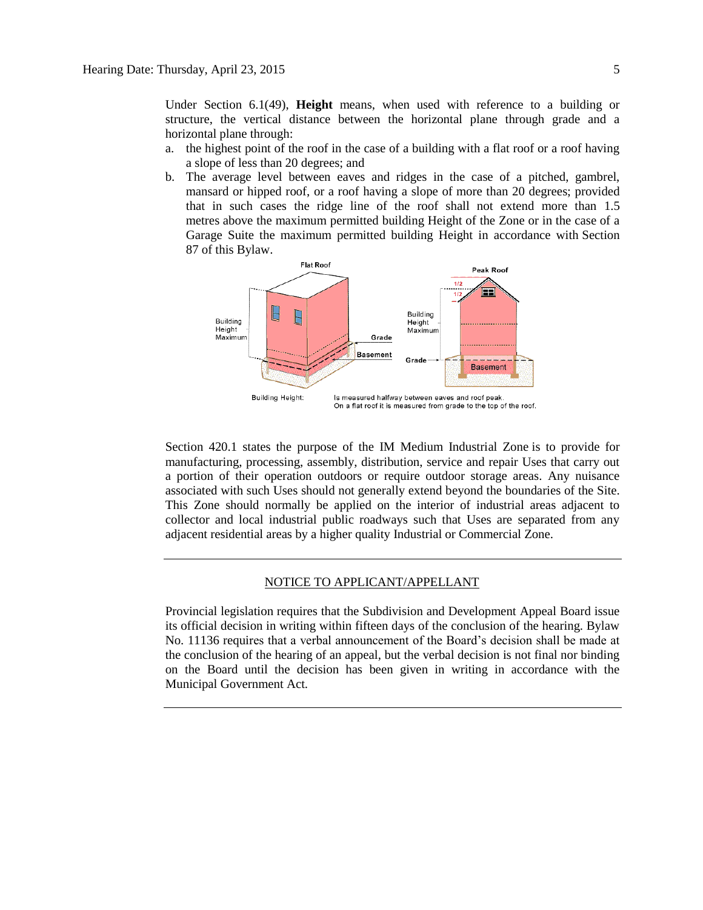Under Section 6.1(49), **Height** means, when used with reference to a building or structure, the vertical distance between the horizontal plane through grade and a horizontal plane through:

- a. the highest point of the roof in the case of a building with a flat roof or a roof having a slope of less than 20 degrees; and
- b. The average level between eaves and ridges in the case of a pitched, gambrel, mansard or hipped roof, or a roof having a slope of more than 20 degrees; provided that in such cases the ridge line of the roof shall not extend more than [1.5](javascript:void(0);)  [me](javascript:void(0);)tres above the maximum permitted building Height of the Zone or in the case of a Garage Suite the maximum permitted building Height in accordance with [Section](http://webdocs.edmonton.ca/zoningbylaw/ZoningBylaw/Part1/Special_Land/87_Garage_and_Garden_Suites.htm)  [87](http://webdocs.edmonton.ca/zoningbylaw/ZoningBylaw/Part1/Special_Land/87_Garage_and_Garden_Suites.htm) of this Bylaw.



Section 420.1 states the purpose of the IM Medium Industrial Zone is to provide for manufacturing, processing, assembly, distribution, service and repair Uses that carry out a portion of their operation outdoors or require outdoor storage areas. Any nuisance associated with such Uses should not generally extend beyond the boundaries of the Site. This Zone should normally be applied on the interior of industrial areas adjacent to collector and local industrial public roadways such that Uses are separated from any adjacent residential areas by a higher quality Industrial or Commercial Zone.

#### NOTICE TO APPLICANT/APPELLANT

Provincial legislation requires that the Subdivision and Development Appeal Board issue its official decision in writing within fifteen days of the conclusion of the hearing. Bylaw No. 11136 requires that a verbal announcement of the Board's decision shall be made at the conclusion of the hearing of an appeal, but the verbal decision is not final nor binding on the Board until the decision has been given in writing in accordance with the Municipal Government Act.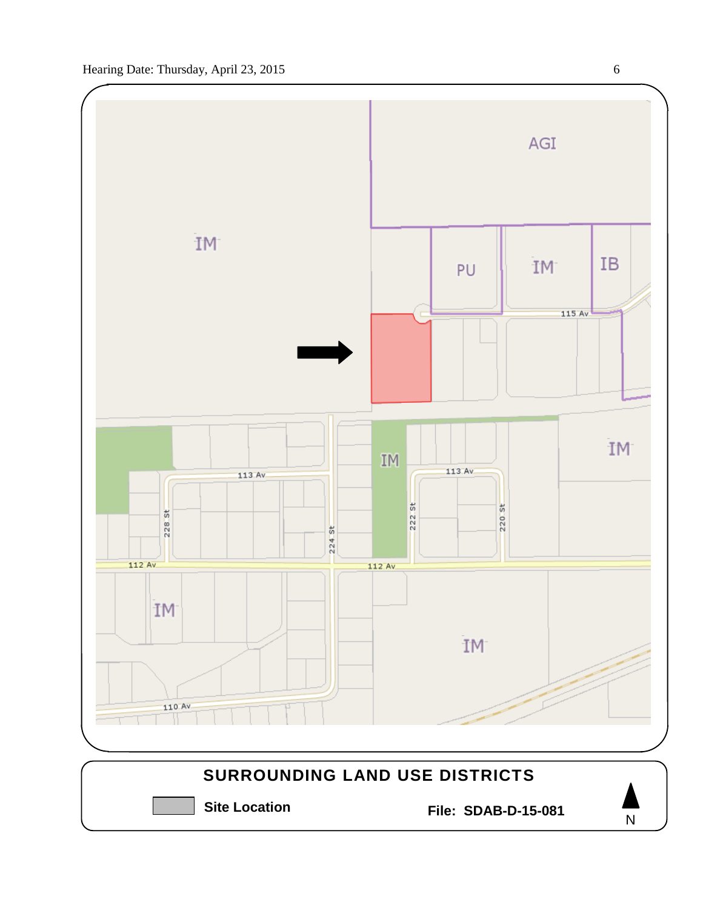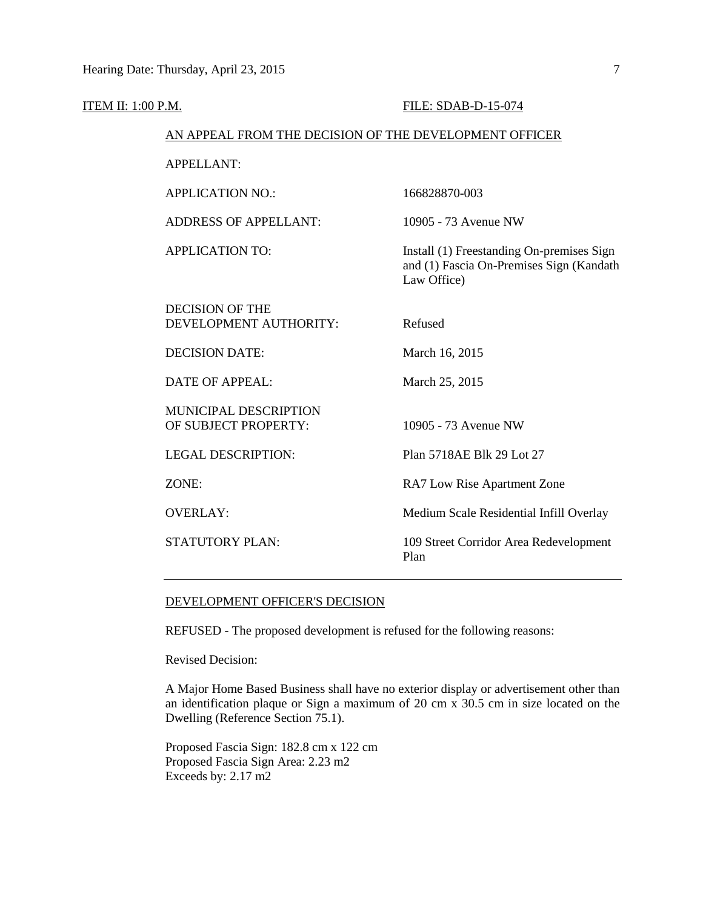| ITEM II: 1:00 P.M.                                     |                                                  | FILE: SDAB-D-15-074                                                                                  |
|--------------------------------------------------------|--------------------------------------------------|------------------------------------------------------------------------------------------------------|
| AN APPEAL FROM THE DECISION OF THE DEVELOPMENT OFFICER |                                                  |                                                                                                      |
|                                                        | <b>APPELLANT:</b>                                |                                                                                                      |
|                                                        | <b>APPLICATION NO.:</b>                          | 166828870-003                                                                                        |
|                                                        | <b>ADDRESS OF APPELLANT:</b>                     | 10905 - 73 Avenue NW                                                                                 |
|                                                        | <b>APPLICATION TO:</b>                           | Install (1) Freestanding On-premises Sign<br>and (1) Fascia On-Premises Sign (Kandath<br>Law Office) |
|                                                        | <b>DECISION OF THE</b><br>DEVELOPMENT AUTHORITY: | Refused                                                                                              |
|                                                        | <b>DECISION DATE:</b>                            | March 16, 2015                                                                                       |
|                                                        | <b>DATE OF APPEAL:</b>                           | March 25, 2015                                                                                       |
|                                                        | MUNICIPAL DESCRIPTION<br>OF SUBJECT PROPERTY:    | 10905 - 73 Avenue NW                                                                                 |
|                                                        | <b>LEGAL DESCRIPTION:</b>                        | Plan 5718AE Blk 29 Lot 27                                                                            |
|                                                        | ZONE:                                            | RA7 Low Rise Apartment Zone                                                                          |
|                                                        | <b>OVERLAY:</b>                                  | Medium Scale Residential Infill Overlay                                                              |
|                                                        | STATUTORY PLAN:                                  | 109 Street Corridor Area Redevelopment<br>Plan                                                       |
|                                                        |                                                  |                                                                                                      |

#### DEVELOPMENT OFFICER'S DECISION

REFUSED - The proposed development is refused for the following reasons:

Revised Decision:

A Major Home Based Business shall have no exterior display or advertisement other than an identification plaque or Sign a maximum of 20 cm  $\frac{1}{x}$  30.5 cm in size located on the Dwelling (Reference Section 75.1).

Proposed Fascia Sign: 182.8 cm x 122 cm Proposed Fascia Sign Area: 2.23 m2 Exceeds by: 2.17 m2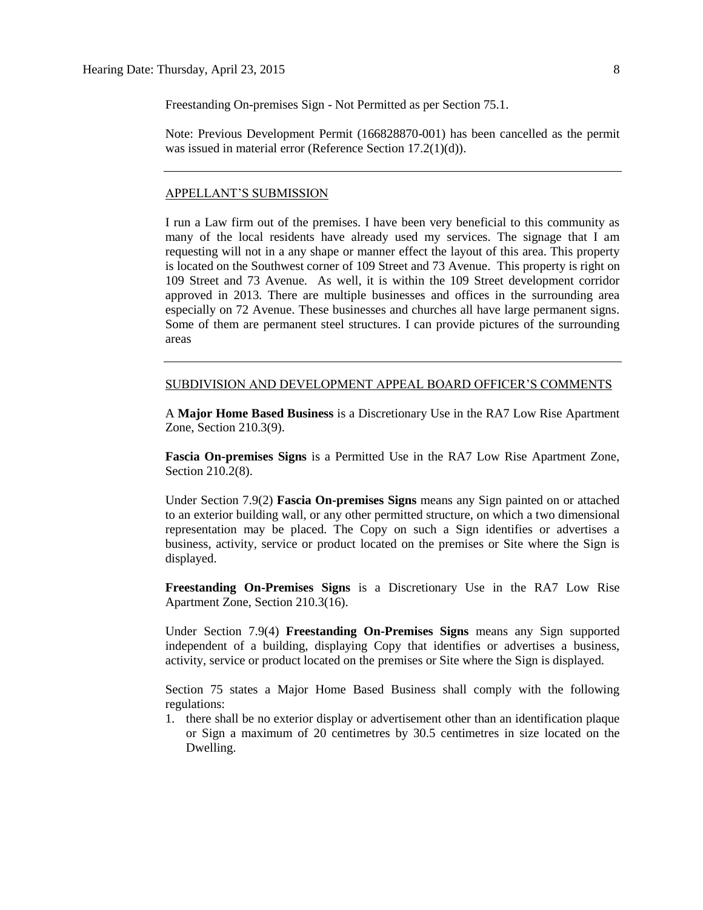Freestanding On-premises Sign - Not Permitted as per Section 75.1.

Note: Previous Development Permit (166828870-001) has been cancelled as the permit was issued in material error (Reference Section 17.2(1)(d)).

#### APPELLANT'S SUBMISSION

I run a Law firm out of the premises. I have been very beneficial to this community as many of the local residents have already used my services. The signage that I am requesting will not in a any shape or manner effect the layout of this area. This property is located on the Southwest corner of 109 Street and 73 Avenue. This property is right on 109 Street and 73 Avenue. As well, it is within the 109 Street development corridor approved in 2013. There are multiple businesses and offices in the surrounding area especially on 72 Avenue. These businesses and churches all have large permanent signs. Some of them are permanent steel structures. I can provide pictures of the surrounding areas

#### SUBDIVISION AND DEVELOPMENT APPEAL BOARD OFFICER'S COMMENTS

A **Major Home Based Business** is a Discretionary Use in the RA7 Low Rise Apartment Zone, Section 210.3(9).

**Fascia On-premises Signs** is a Permitted Use in the RA7 Low Rise Apartment Zone, Section 210.2(8).

Under Section 7.9(2) **Fascia On-premises Signs** means any Sign painted on or attached to an exterior building wall, or any other permitted structure, on which a two dimensional representation may be placed. The Copy on such a Sign identifies or advertises a business, activity, service or product located on the premises or Site where the Sign is displayed.

**Freestanding On-Premises Signs** is a Discretionary Use in the RA7 Low Rise Apartment Zone, Section 210.3(16).

Under Section 7.9(4) **Freestanding On-Premises Signs** means any Sign supported independent of a building, displaying Copy that identifies or advertises a business, activity, service or product located on the premises or Site where the Sign is displayed.

Section 75 states a Major Home Based Business shall comply with the following regulations:

1. there shall be no exterior display or advertisement other than an identification plaque or Sign a maximum of 20 centimetres by 30.5 centimetres in size located on the Dwelling.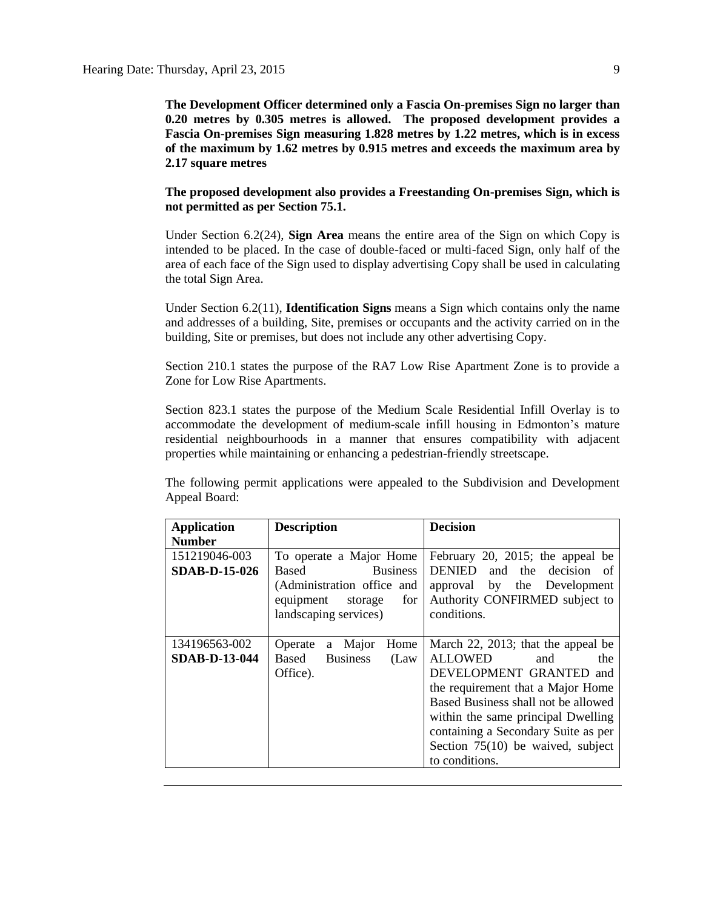**The Development Officer determined only a Fascia On-premises Sign no larger than 0.20 metres by 0.305 metres is allowed. The proposed development provides a Fascia On-premises Sign measuring 1.828 metres by 1.22 metres, which is in excess of the maximum by 1.62 metres by 0.915 metres and exceeds the maximum area by 2.17 square metres**

**The proposed development also provides a Freestanding On-premises Sign, which is not permitted as per Section 75.1.**

Under Section 6.2(24), **Sign Area** means the entire area of the Sign on which Copy is intended to be placed. In the case of double-faced or multi-faced Sign, only half of the area of each face of the Sign used to display advertising Copy shall be used in calculating the total Sign Area.

Under Section 6.2(11), **Identification Signs** means a Sign which contains only the name and addresses of a building, Site, premises or occupants and the activity carried on in the building, Site or premises, but does not include any other advertising Copy.

Section 210.1 states the purpose of the RA7 Low Rise Apartment Zone is to provide a Zone for Low Rise Apartments.

Section 823.1 states the purpose of the Medium Scale Residential Infill Overlay is to accommodate the development of medium-scale infill housing in Edmonton's mature residential neighbourhoods in a manner that ensures compatibility with adjacent properties while maintaining or enhancing a pedestrian-friendly streetscape.

The following permit applications were appealed to the Subdivision and Development Appeal Board:

| <b>Application</b><br><b>Number</b>   | <b>Description</b>                                                                                                                        | <b>Decision</b>                                                                                                                                                                                                                                                                                                 |
|---------------------------------------|-------------------------------------------------------------------------------------------------------------------------------------------|-----------------------------------------------------------------------------------------------------------------------------------------------------------------------------------------------------------------------------------------------------------------------------------------------------------------|
| 151219046-003<br><b>SDAB-D-15-026</b> | To operate a Major Home<br>Based<br><b>Business</b><br>(Administration office and<br>equipment<br>storage<br>for<br>landscaping services) | February 20, 2015; the appeal be<br>and the decision of<br>DENIED<br>approval by the Development<br>Authority CONFIRMED subject to<br>conditions.                                                                                                                                                               |
| 134196563-002<br><b>SDAB-D-13-044</b> | a Major<br>Home<br>Operate<br><b>Business</b><br>Based<br>(Law)<br>Office).                                                               | March 22, 2013; that the appeal be<br><b>ALLOWED</b><br>the<br>and<br>DEVELOPMENT GRANTED and<br>the requirement that a Major Home<br>Based Business shall not be allowed<br>within the same principal Dwelling<br>containing a Secondary Suite as per<br>Section $75(10)$ be waived, subject<br>to conditions. |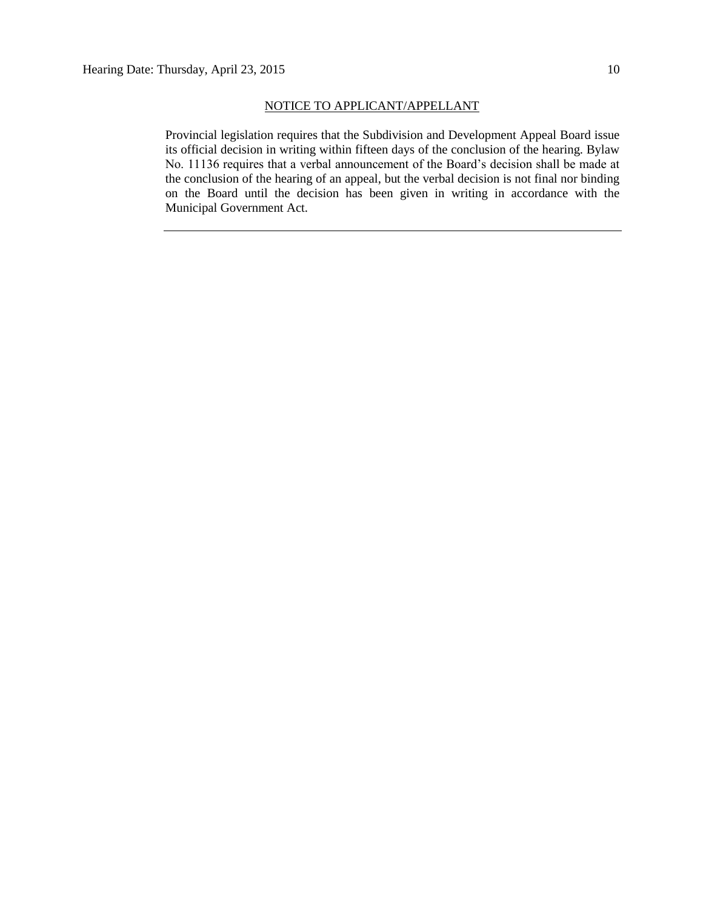#### NOTICE TO APPLICANT/APPELLANT

Provincial legislation requires that the Subdivision and Development Appeal Board issue its official decision in writing within fifteen days of the conclusion of the hearing. Bylaw No. 11136 requires that a verbal announcement of the Board's decision shall be made at the conclusion of the hearing of an appeal, but the verbal decision is not final nor binding on the Board until the decision has been given in writing in accordance with the Municipal Government Act.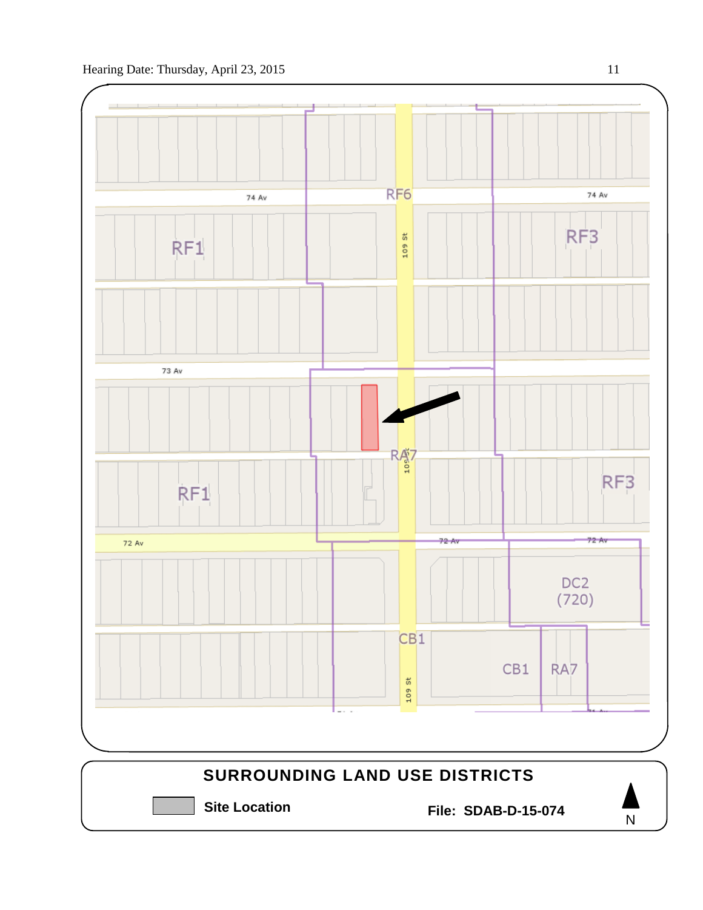